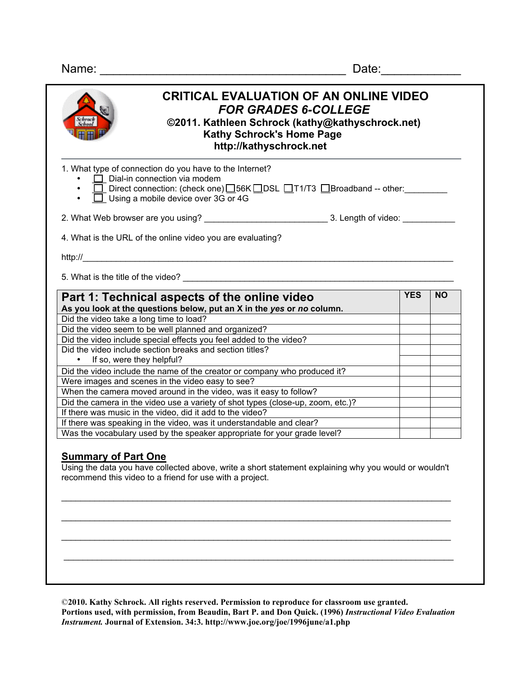Name: \_\_\_\_\_\_\_\_\_\_\_\_\_\_\_\_\_\_\_\_\_\_\_\_\_\_\_\_\_\_\_\_\_\_\_\_\_ Date:\_\_\_\_\_\_\_\_\_\_\_\_

| 1. What type of connection do you have to the Internet?<br>$\Box$ Dial-in connection via modem                                                                                                                                                                                                                                                                                                                                                                                                                                                                                                                                                       |            |           |
|------------------------------------------------------------------------------------------------------------------------------------------------------------------------------------------------------------------------------------------------------------------------------------------------------------------------------------------------------------------------------------------------------------------------------------------------------------------------------------------------------------------------------------------------------------------------------------------------------------------------------------------------------|------------|-----------|
| □ Direct connection: (check one) <b>O</b> 56K ODSL OT1/T3 OBroadband -- other:                                                                                                                                                                                                                                                                                                                                                                                                                                                                                                                                                                       |            |           |
| $\overline{\Box}$ Using a mobile device over 3G or 4G                                                                                                                                                                                                                                                                                                                                                                                                                                                                                                                                                                                                |            |           |
|                                                                                                                                                                                                                                                                                                                                                                                                                                                                                                                                                                                                                                                      |            |           |
|                                                                                                                                                                                                                                                                                                                                                                                                                                                                                                                                                                                                                                                      |            |           |
| 4. What is the URL of the online video you are evaluating?                                                                                                                                                                                                                                                                                                                                                                                                                                                                                                                                                                                           |            |           |
|                                                                                                                                                                                                                                                                                                                                                                                                                                                                                                                                                                                                                                                      |            |           |
|                                                                                                                                                                                                                                                                                                                                                                                                                                                                                                                                                                                                                                                      |            |           |
|                                                                                                                                                                                                                                                                                                                                                                                                                                                                                                                                                                                                                                                      |            |           |
|                                                                                                                                                                                                                                                                                                                                                                                                                                                                                                                                                                                                                                                      |            |           |
|                                                                                                                                                                                                                                                                                                                                                                                                                                                                                                                                                                                                                                                      |            |           |
|                                                                                                                                                                                                                                                                                                                                                                                                                                                                                                                                                                                                                                                      | <b>YES</b> | <b>NO</b> |
|                                                                                                                                                                                                                                                                                                                                                                                                                                                                                                                                                                                                                                                      |            |           |
|                                                                                                                                                                                                                                                                                                                                                                                                                                                                                                                                                                                                                                                      |            |           |
|                                                                                                                                                                                                                                                                                                                                                                                                                                                                                                                                                                                                                                                      |            |           |
|                                                                                                                                                                                                                                                                                                                                                                                                                                                                                                                                                                                                                                                      |            |           |
|                                                                                                                                                                                                                                                                                                                                                                                                                                                                                                                                                                                                                                                      |            |           |
| • If so, were they helpful?                                                                                                                                                                                                                                                                                                                                                                                                                                                                                                                                                                                                                          |            |           |
|                                                                                                                                                                                                                                                                                                                                                                                                                                                                                                                                                                                                                                                      |            |           |
|                                                                                                                                                                                                                                                                                                                                                                                                                                                                                                                                                                                                                                                      |            |           |
|                                                                                                                                                                                                                                                                                                                                                                                                                                                                                                                                                                                                                                                      |            |           |
| Part 1: Technical aspects of the online video<br>As you look at the questions below, put an X in the yes or no column.<br>Did the video take a long time to load?<br>Did the video seem to be well planned and organized?<br>Did the video include special effects you feel added to the video?<br>Did the video include section breaks and section titles?<br>Did the video include the name of the creator or company who produced it?<br>Were images and scenes in the video easy to see?<br>When the camera moved around in the video, was it easy to follow?<br>Did the camera in the video use a variety of shot types (close-up, zoom, etc.)? |            |           |
| If there was music in the video, did it add to the video?<br>If there was speaking in the video, was it understandable and clear?                                                                                                                                                                                                                                                                                                                                                                                                                                                                                                                    |            |           |

©**2010. Kathy Schrock. All rights reserved. Permission to reproduce for classroom use granted. Portions used, with permission, from Beaudin, Bart P. and Don Quick. (1996)** *Instructional Video Evaluation Instrument.* **Journal of Extension. 34:3. http://www.joe.org/joe/1996june/a1.php**

 $\mathcal{L}_\mathcal{L} = \{ \mathcal{L}_\mathcal{L} = \{ \mathcal{L}_\mathcal{L} = \{ \mathcal{L}_\mathcal{L} = \{ \mathcal{L}_\mathcal{L} = \{ \mathcal{L}_\mathcal{L} = \{ \mathcal{L}_\mathcal{L} = \{ \mathcal{L}_\mathcal{L} = \{ \mathcal{L}_\mathcal{L} = \{ \mathcal{L}_\mathcal{L} = \{ \mathcal{L}_\mathcal{L} = \{ \mathcal{L}_\mathcal{L} = \{ \mathcal{L}_\mathcal{L} = \{ \mathcal{L}_\mathcal{L} = \{ \mathcal{L}_\mathcal{$ 

\_\_\_\_\_\_\_\_\_\_\_\_\_\_\_\_\_\_\_\_\_\_\_\_\_\_\_\_\_\_\_\_\_\_\_\_\_\_\_\_\_\_\_\_\_\_\_\_\_\_\_\_\_\_\_\_\_\_\_\_\_\_\_\_\_\_\_\_\_\_\_\_\_\_\_\_\_\_\_\_\_\_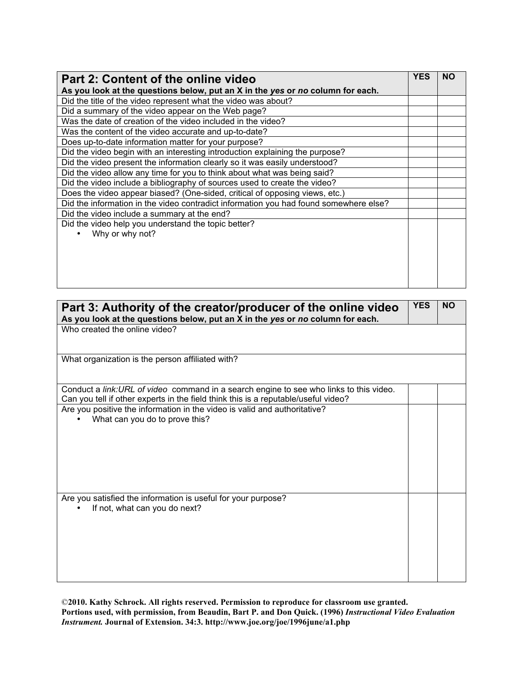| Part 2: Content of the online video                                                   | <b>YES</b> | <b>NO</b> |
|---------------------------------------------------------------------------------------|------------|-----------|
| As you look at the questions below, put an X in the yes or no column for each.        |            |           |
| Did the title of the video represent what the video was about?                        |            |           |
| Did a summary of the video appear on the Web page?                                    |            |           |
| Was the date of creation of the video included in the video?                          |            |           |
| Was the content of the video accurate and up-to-date?                                 |            |           |
| Does up-to-date information matter for your purpose?                                  |            |           |
| Did the video begin with an interesting introduction explaining the purpose?          |            |           |
| Did the video present the information clearly so it was easily understood?            |            |           |
| Did the video allow any time for you to think about what was being said?              |            |           |
| Did the video include a bibliography of sources used to create the video?             |            |           |
| Does the video appear biased? (One-sided, critical of opposing views, etc.)           |            |           |
| Did the information in the video contradict information you had found somewhere else? |            |           |
| Did the video include a summary at the end?                                           |            |           |
| Did the video help you understand the topic better?                                   |            |           |
| Why or why not?                                                                       |            |           |
|                                                                                       |            |           |
|                                                                                       |            |           |
|                                                                                       |            |           |
|                                                                                       |            |           |
|                                                                                       |            |           |

| Part 3: Authority of the creator/producer of the online video<br>As you look at the questions below, put an X in the yes or no column for each.                               | <b>YES</b> | <b>NO</b> |
|-------------------------------------------------------------------------------------------------------------------------------------------------------------------------------|------------|-----------|
| Who created the online video?                                                                                                                                                 |            |           |
| What organization is the person affiliated with?                                                                                                                              |            |           |
| Conduct a link: URL of video command in a search engine to see who links to this video.<br>Can you tell if other experts in the field think this is a reputable/useful video? |            |           |
| Are you positive the information in the video is valid and authoritative?<br>What can you do to prove this?                                                                   |            |           |
| Are you satisfied the information is useful for your purpose?<br>If not, what can you do next?                                                                                |            |           |

©**2010. Kathy Schrock. All rights reserved. Permission to reproduce for classroom use granted. Portions used, with permission, from Beaudin, Bart P. and Don Quick. (1996)** *Instructional Video Evaluation Instrument.* **Journal of Extension. 34:3. http://www.joe.org/joe/1996june/a1.php**